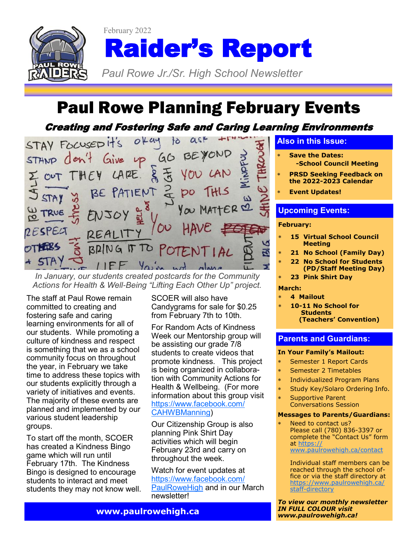

February 2022 Raider's Report

*Paul Rowe Jr./Sr. High School Newsletter* 

# Paul Rowe Planning February Events

## Creating and Fostering Safe and Caring Learning Environments



*In January, our students created postcards for the Community Actions for Health & Well-Being "Lifting Each Other Up" project.*

The staff at Paul Rowe remain committed to creating and fostering safe and caring learning environments for all of our students. While promoting a culture of kindness and respect is something that we as a school community focus on throughout the year, in February we take time to address these topics with our students explicitly through a variety of initiatives and events. The majority of these events are planned and implemented by our various student leadership groups.

To start off the month, SCOER has created a Kindness Bingo game which will run until February 17th. The Kindness Bingo is designed to encourage students to interact and meet students they may not know well. SCOER will also have Candygrams for sale for \$0.25 from February 7th to 10th.

For Random Acts of Kindness Week our Mentorship group will be assisting our grade 7/8 students to create videos that promote kindness. This project is being organized in collaboration with Community Actions for Health & Wellbeing. (For more information about this group visit [https://www.facebook.com/](https://www.facebook.com/CAHWBManning) [CAHWBManning\)](https://www.facebook.com/CAHWBManning)

Our Citizenship Group is also planning Pink Shirt Day activities which will begin February 23rd and carry on throughout the week.

Watch for event updates at [https://www.facebook.com/](https://www.facebook.com/PaulRoweHigh) [PaulRoweHigh](https://www.facebook.com/PaulRoweHigh) and in our March newsletter!

## **Also in this Issue:**

- **Save the Dates: -School Council Meeting**
- **PRSD Seeking Feedback on the 2022-2023 Calendar**
- **Event Updates!**

## **Upcoming Events:**

#### **February:**

- **15 Virtual School Council Meeting**
- **21 No School (Family Day)**
	- **22 No School for Students (PD/Staff Meeting Day)**
- **23 Pink Shirt Day**

#### **March:**

- **4 Mailout**
- **10-11 No School for Students (Teachers' Convention)**

### **Parents and Guardians:**

#### **In Your Family's Mailout:**

- Semester 1 Report Cards
- Semester 2 Timetables
- Individualized Program Plans
- Study Key/Solaro Ordering Info.
- Supportive Parent Conversations Session

#### **Messages to Parents/Guardians:**

 Need to contact us? Please call (780) 836-3397 or complete the "Contact Us" form at [https://](https://www.paulrowehigh.ca/contact)

[www.paulrowehigh.ca/contact](https://www.paulrowehigh.ca/contact)

Individual staff members can be reached through the school office or via the staff directory at [https://www.paulrowehigh.ca/](https://www.paulrowehigh.ca/staff-directory) staff-[directory](https://www.paulrowehigh.ca/staff-directory)

*To view our monthly newsletter IN FULL COLOUR visit www.paulrowehigh.ca!* 

**www.paulrowehigh.ca**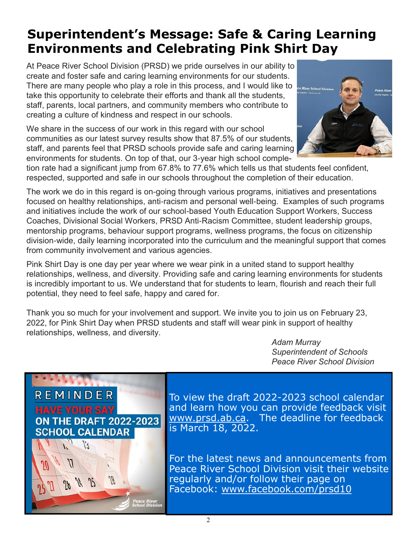## **Superintendent's Message: Safe & Caring Learning Environments and Celebrating Pink Shirt Day**

At Peace River School Division (PRSD) we pride ourselves in our ability to create and foster safe and caring learning environments for our students. There are many people who play a role in this process, and I would like to take this opportunity to celebrate their efforts and thank all the students, staff, parents, local partners, and community members who contribute to creating a culture of kindness and respect in our schools.

We share in the success of our work in this regard with our school communities as our latest survey results show that 87.5% of our students, staff, and parents feel that PRSD schools provide safe and caring learning environments for students. On top of that, our 3-year high school comple-



tion rate had a significant jump from 67.8% to 77.6% which tells us that students feel confident, respected, supported and safe in our schools throughout the completion of their education.

The work we do in this regard is on-going through various programs, initiatives and presentations focused on healthy relationships, anti-racism and personal well-being. Examples of such programs and initiatives include the work of our school-based Youth Education Support Workers, Success Coaches, Divisional Social Workers, PRSD Anti-Racism Committee, student leadership groups, mentorship programs, behaviour support programs, wellness programs, the focus on citizenship division-wide, daily learning incorporated into the curriculum and the meaningful support that comes from community involvement and various agencies.

Pink Shirt Day is one day per year where we wear pink in a united stand to support healthy relationships, wellness, and diversity. Providing safe and caring learning environments for students is incredibly important to us. We understand that for students to learn, flourish and reach their full potential, they need to feel safe, happy and cared for.

Thank you so much for your involvement and support. We invite you to join us on February 23, 2022, for Pink Shirt Day when PRSD students and staff will wear pink in support of healthy relationships, wellness, and diversity.

 *Adam Murray Superintendent of Schools Peace River School Division*



To view the draft 2022-2023 school calendar and learn how you can provide feedback visit [www.prsd.ab.ca.](http://www.prsd.ab.ca) The deadline for feedback is March 18, 2022.

For the latest news and announcements from Peace River School Division visit their website regularly and/or follow their page on Facebook: [www.facebook.com/prsd10](https://www.facebook.com/prsd10)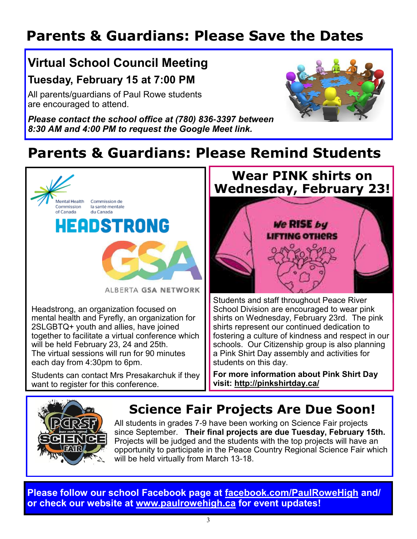# **Parents & Guardians: Please Save the Dates**

## **Virtual School Council Meeting Tuesday, February 15 at 7:00 PM**

All parents/guardians of Paul Rowe students are encouraged to attend.

*Please contact the school office at (780) 836-3397 between 8:30 AM and 4:00 PM to request the Google Meet link.* 



# **Parents & Guardians: Please Remind Students**



together to facilitate a virtual conference which will be held February 23, 24 and 25th. The virtual sessions will run for 90 minutes each day from 4:30pm to 6pm.

Students can contact Mrs Presakarchuk if they want to register for this conference.

# **Wear PINK shirts on Wednesday, February 23!** We RISE by **LIFTING OTHERS**

Students and staff throughout Peace River School Division are encouraged to wear pink shirts on Wednesday, February 23rd. The pink shirts represent our continued dedication to fostering a culture of kindness and respect in our schools. Our Citizenship group is also planning a Pink Shirt Day assembly and activities for students on this day.

**For more information about Pink Shirt Day visit:<http://pinkshirtday.ca/>**



## **Science Fair Projects Are Due Soon!**

All students in grades 7-9 have been working on Science Fair projects since September. **Their final projects are due Tuesday, February 15th.**  Projects will be judged and the students with the top projects will have an opportunity to participate in the Peace Country Regional Science Fair which will be held virtually from March 13-18.

**Please follow our school Facebook page at [facebook.com/PaulRoweHigh](https://www.facebook.com/PaulRoweHigh) and/ or check our website at [www.paulrowehigh.ca](http://www.paulrowehigh.ca) for event updates!**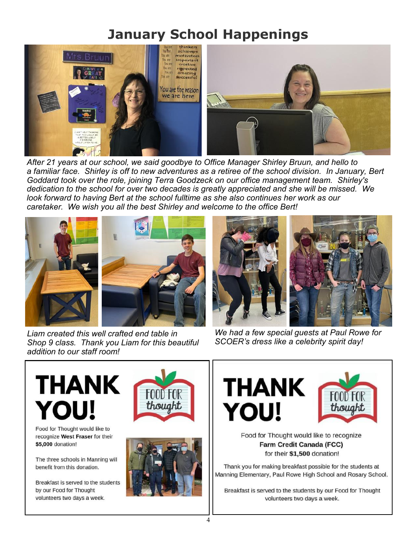## **January School Happenings**



*After 21 years at our school, we said goodbye to Office Manager Shirley Bruun, and hello to a familiar face. Shirley is off to new adventures as a retiree of the school division. In January, Bert Goddard took over the role, joining Terra Goodzeck on our office management team. Shirley's dedication to the school for over two decades is greatly appreciated and she will be missed. We look forward to having Bert at the school fulltime as she also continues her work as our caretaker. We wish you all the best Shirley and welcome to the office Bert!* 



*Liam created this well crafted end table in Shop 9 class. Thank you Liam for this beautiful addition to our staff room!* 



*We had a few special guests at Paul Rowe for SCOER's dress like a celebrity spirit day!* 



Food for Thought would like to recognize West Fraser for their \$5,000 donation!

The three schools in Manning will benefit from this donation.

Breakfast is served to the students by our Food for Thought volunteers two days a week.









Food for Thought would like to recognize **Farm Credit Canada (FCC)** for their \$1,500 donation!

Thank you for making breakfast possible for the students at Manning Elementary, Paul Rowe High School and Rosary School.

Breakfast is served to the students by our Food for Thought volunteers two days a week.